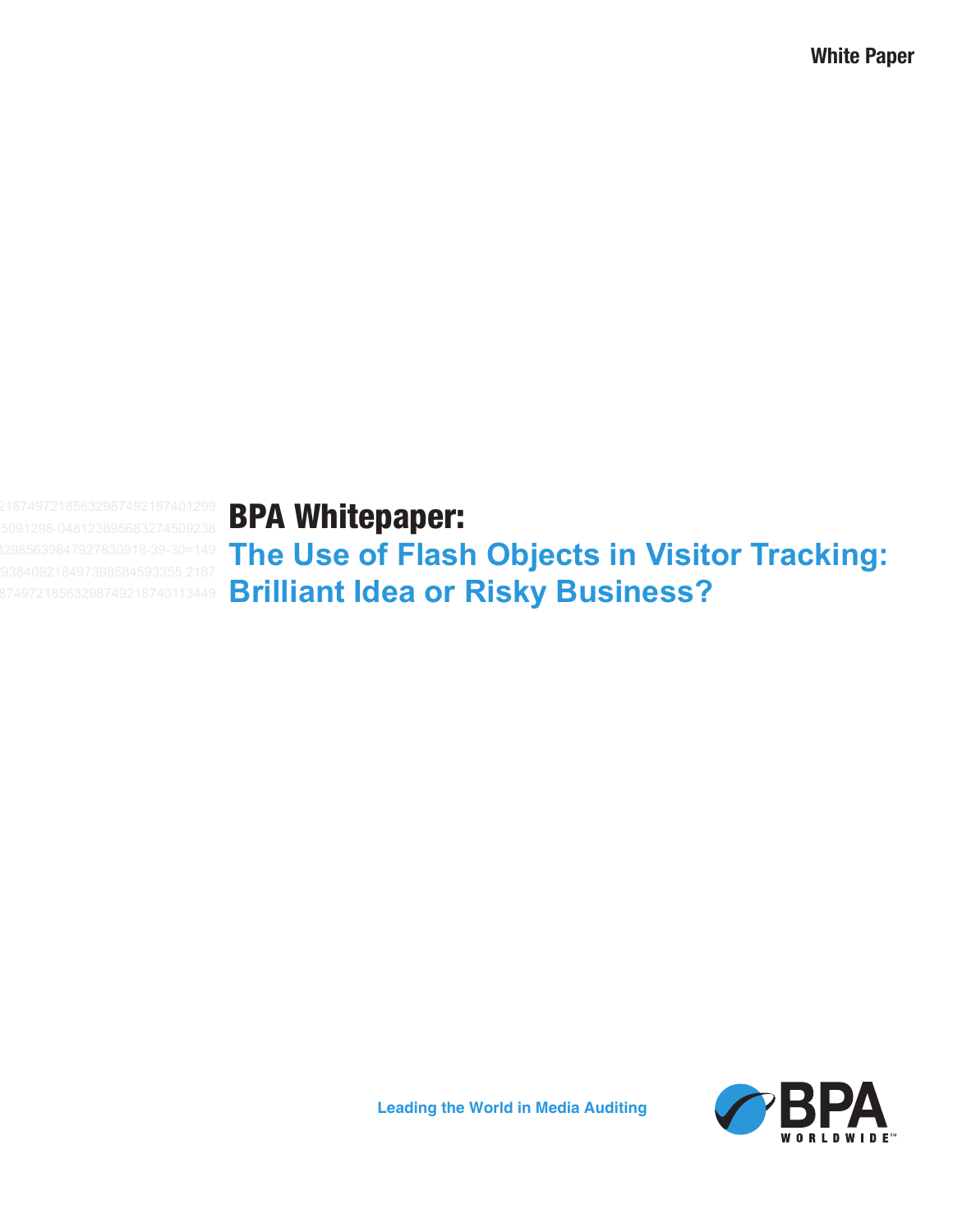**White Paper**

# BPA Whitepaper:

**The Use of Flash Objects in Visitor Tracking: Brilliant Idea or Risky Business?**



**Leading the World in Media Auditing**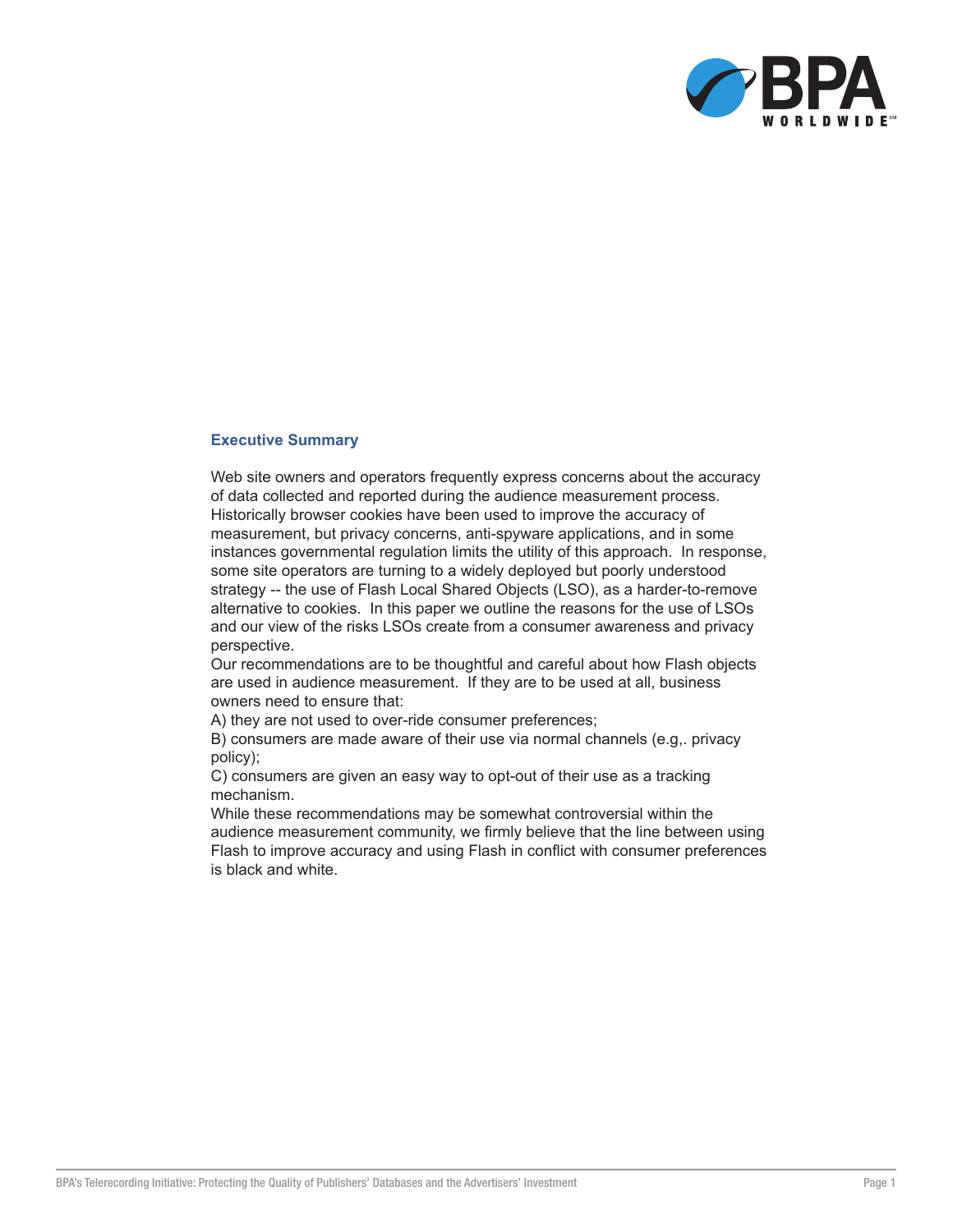

#### **Executive Summary**

Web site owners and operators frequently express concerns about the accuracy of data collected and reported during the audience measurement process. Historically browser cookies have been used to improve the accuracy of measurement, but privacy concerns, anti-spyware applications, and in some instances governmental regulation limits the utility of this approach. In response, some site operators are turning to a widely deployed but poorly understood strategy -- the use of Flash Local Shared Objects (LSO), as a harder-to-remove alternative to cookies. In this paper we outline the reasons for the use of LSOs and our view of the risks LSOs create from a consumer awareness and privacy perspective.

Our recommendations are to be thoughtful and careful about how Flash objects are used in audience measurement. If they are to be used at all, business owners need to ensure that:

A) they are not used to over-ride consumer preferences;

B) consumers are made aware of their use via normal channels (e.g,. privacy policy);

C) consumers are given an easy way to opt-out of their use as a tracking mechanism.

While these recommendations may be somewhat controversial within the audience measurement community, we firmly believe that the line between using Flash to improve accuracy and using Flash in conflict with consumer preferences is black and white.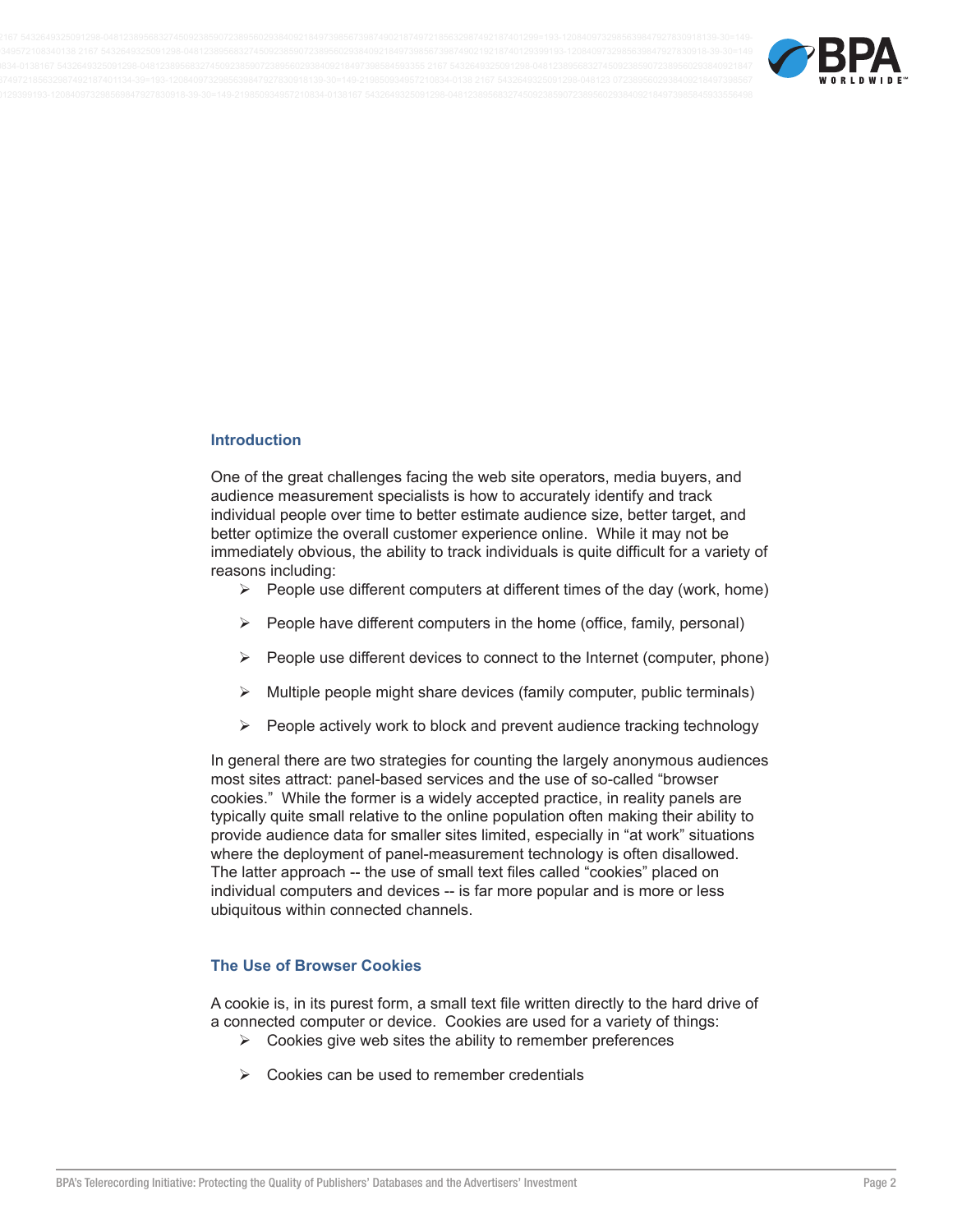

#### **Introduction**

One of the great challenges facing the web site operators, media buyers, and audience measurement specialists is how to accurately identify and track individual people over time to better estimate audience size, better target, and better optimize the overall customer experience online. While it may not be immediately obvious, the ability to track individuals is quite difficult for a variety of reasons including:

- $\triangleright$  People use different computers at different times of the day (work, home)
- $\triangleright$  People have different computers in the home (office, family, personal)
- $\triangleright$  People use different devices to connect to the Internet (computer, phone)
- $\triangleright$  Multiple people might share devices (family computer, public terminals)
- $\triangleright$  People actively work to block and prevent audience tracking technology

In general there are two strategies for counting the largely anonymous audiences most sites attract: panel-based services and the use of so-called "browser cookies." While the former is a widely accepted practice, in reality panels are typically quite small relative to the online population often making their ability to provide audience data for smaller sites limited, especially in "at work" situations where the deployment of panel-measurement technology is often disallowed. The latter approach -- the use of small text files called "cookies" placed on individual computers and devices -- is far more popular and is more or less ubiquitous within connected channels.

## **The Use of Browser Cookies**

A cookie is, in its purest form, a small text file written directly to the hard drive of a connected computer or device. Cookies are used for a variety of things:

- $\triangleright$  Cookies give web sites the ability to remember preferences
- $\triangleright$  Cookies can be used to remember credentials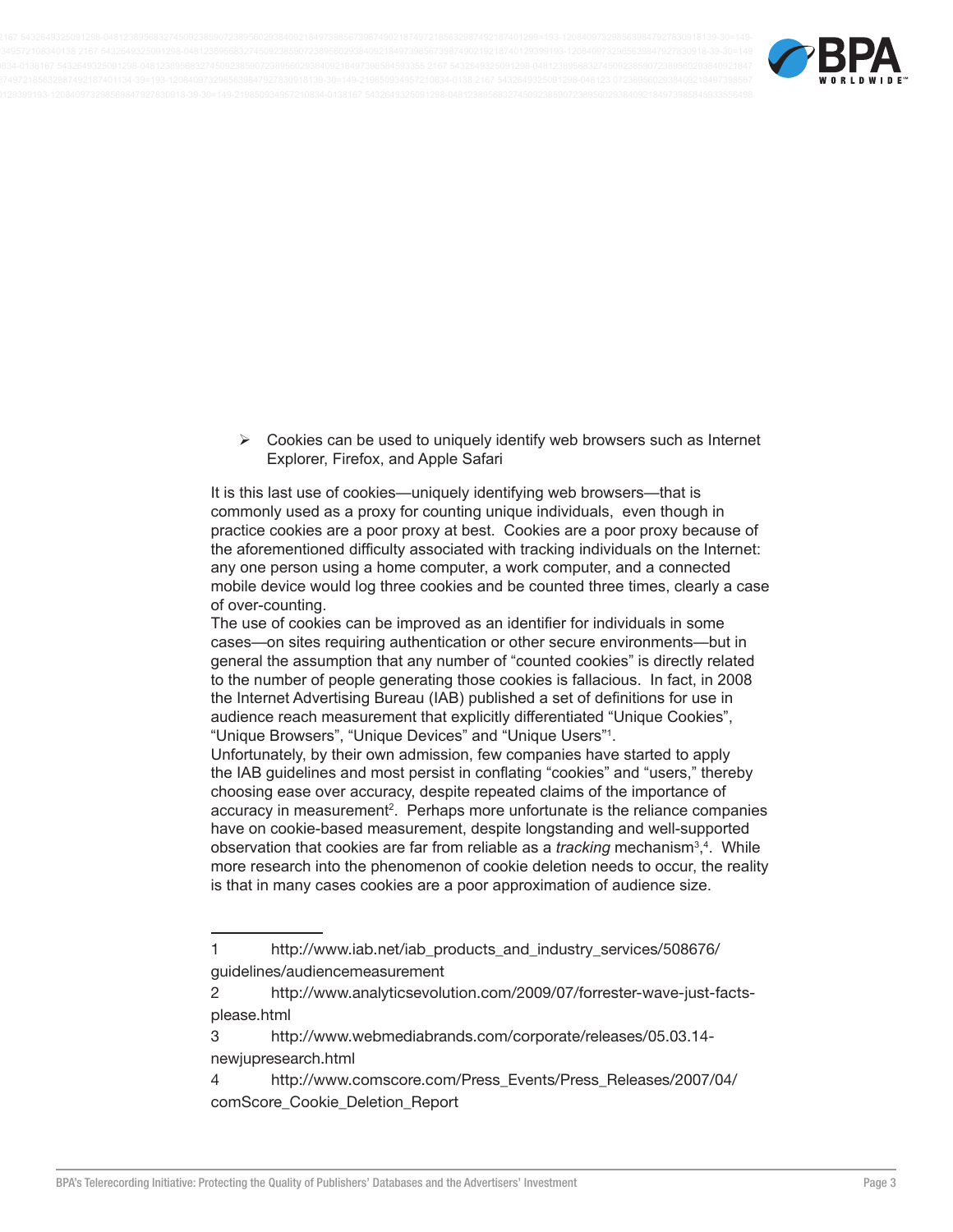

 $\triangleright$  Cookies can be used to uniquely identify web browsers such as Internet Explorer, Firefox, and Apple Safari

It is this last use of cookies-uniquely identifying web browsers-that is commonly used as a proxy for counting unique individuals, even though in practice cookies are a poor proxy at best. Cookies are a poor proxy because of the aforementioned difficulty associated with tracking individuals on the Internet: any one person using a home computer, a work computer, and a connected mobile device would log three cookies and be counted three times, clearly a case of over-counting.

The use of cookies can be improved as an identifier for individuals in some cases-on sites requiring authentication or other secure environments-but in general the assumption that any number of "counted cookies" is directly related to the number of people generating those cookies is fallacious. In fact, in 2008 the Internet Advertising Bureau (IAB) published a set of definitions for use in audience reach measurement that explicitly differentiated "Unique Cookies", "Unique Browsers", "Unique Devices" and "Unique Users"<sup>1</sup>.

Unfortunately, by their own admission, few companies have started to apply the IAB guidelines and most persist in conflating "cookies" and "users," thereby choosing ease over accuracy, despite repeated claims of the importance of accuracy in measurement<sup>2</sup>. Perhaps more unfortunate is the reliance companies have on cookie-based measurement, despite longstanding and well-supported observation that cookies are far from reliable as a tracking mechanism<sup>3</sup>,<sup>4</sup>. While more research into the phenomenon of cookie deletion needs to occur, the reality is that in many cases cookies are a poor approximation of audience size.

<sup>1</sup> http://www.iab.net/iab\_products\_and\_industry\_services/508676/ guidelines/audiencemeasurement

 $\overline{2}$ http://www.analyticsevolution.com/2009/07/forrester-wave-just-factsplease.html

<sup>3</sup> http://www.webmediabrands.com/corporate/releases/05.03.14newjupresearch.html

http://www.comscore.com/Press\_Events/Press\_Releases/2007/04/ 4 comScore Cookie Deletion Report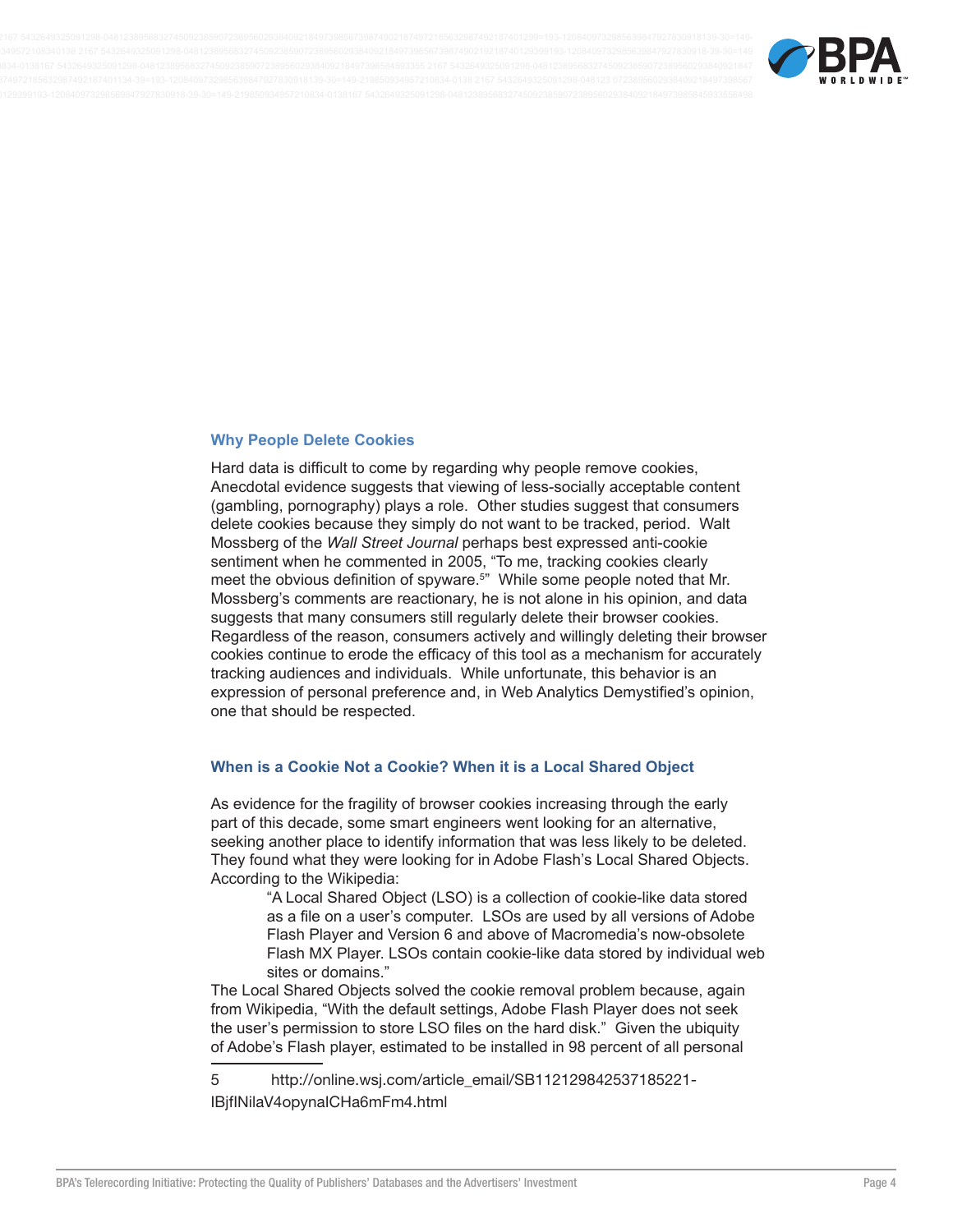

#### **Why People Delete Cookies**

Hard data is difficult to come by regarding why people remove cookies, Anecdotal evidence suggests that viewing of less-socially acceptable content (gambling, pornography) plays a role. Other studies suggest that consumers delete cookies because they simply do not want to be tracked, period. Walt Mossberg of the Wall Street Journal perhaps best expressed anti-cookie sentiment when he commented in 2005, "To me, tracking cookies clearly meet the obvious definition of spyware.<sup>5"</sup> While some people noted that Mr. Mossberg's comments are reactionary, he is not alone in his opinion, and data suggests that many consumers still regularly delete their browser cookies. Regardless of the reason, consumers actively and willingly deleting their browser cookies continue to erode the efficacy of this tool as a mechanism for accurately tracking audiences and individuals. While unfortunate, this behavior is an expression of personal preference and, in Web Analytics Demystified's opinion, one that should be respected.

#### When is a Cookie Not a Cookie? When it is a Local Shared Object

As evidence for the fragility of browser cookies increasing through the early part of this decade, some smart engineers went looking for an alternative, seeking another place to identify information that was less likely to be deleted. They found what they were looking for in Adobe Flash's Local Shared Objects. According to the Wikipedia:

> "A Local Shared Object (LSO) is a collection of cookie-like data stored as a file on a user's computer. LSOs are used by all versions of Adobe Flash Player and Version 6 and above of Macromedia's now-obsolete Flash MX Player. LSOs contain cookie-like data stored by individual web sites or domains."

The Local Shared Objects solved the cookie removal problem because, again from Wikipedia, "With the default settings, Adobe Flash Player does not seek the user's permission to store LSO files on the hard disk." Given the ubiquity of Adobe's Flash player, estimated to be installed in 98 percent of all personal

http://online.wsj.com/article\_email/SB112129842537185221-5 IBifINilaV4opynalCHa6mFm4.html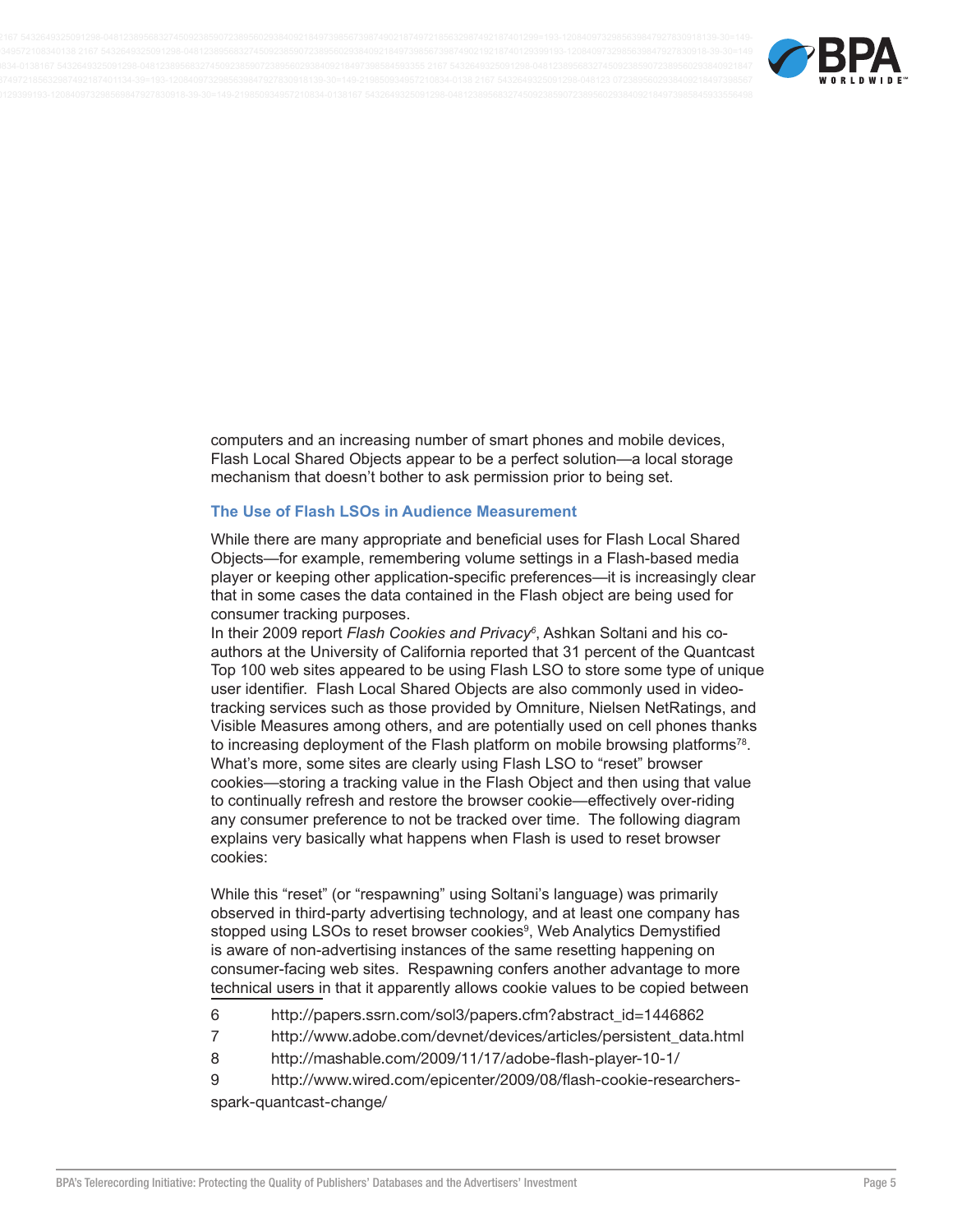

computers and an increasing number of smart phones and mobile devices, Flash Local Shared Objects appear to be a perfect solution—a local storage mechanism that doesn't bother to ask permission prior to being set.

#### The Use of Flash LSOs in Audience Measurement

While there are many appropriate and beneficial uses for Flash Local Shared Objects-for example, remembering volume settings in a Flash-based media player or keeping other application-specific preferences—it is increasingly clear that in some cases the data contained in the Flash object are being used for consumer tracking purposes.

In their 2009 report Flash Cookies and Privacy<sup>6</sup>, Ashkan Soltani and his coauthors at the University of California reported that 31 percent of the Quantcast Top 100 web sites appeared to be using Flash LSO to store some type of unique user identifier. Flash Local Shared Objects are also commonly used in videotracking services such as those provided by Omniture, Nielsen NetRatings, and Visible Measures among others, and are potentially used on cell phones thanks to increasing deployment of the Flash platform on mobile browsing platforms<sup>78</sup>. What's more, some sites are clearly using Flash LSO to "reset" browser cookies—storing a tracking value in the Flash Object and then using that value to continually refresh and restore the browser cookie—effectively over-riding any consumer preference to not be tracked over time. The following diagram explains very basically what happens when Flash is used to reset browser cookies:

While this "reset" (or "respawning" using Soltani's language) was primarily observed in third-party advertising technology, and at least one company has stopped using LSOs to reset browser cookies<sup>9</sup>, Web Analytics Demystified is aware of non-advertising instances of the same resetting happening on consumer-facing web sites. Respawning confers another advantage to more technical users in that it apparently allows cookie values to be copied between

- 6 http://papers.ssrn.com/sol3/papers.cfm?abstract\_id=1446862
- $\overline{7}$ http://www.adobe.com/devnet/devices/articles/persistent\_data.html
- 8 http://mashable.com/2009/11/17/adobe-flash-player-10-1/
- 9 http://www.wired.com/epicenter/2009/08/flash-cookie-researchersspark-quantcast-change/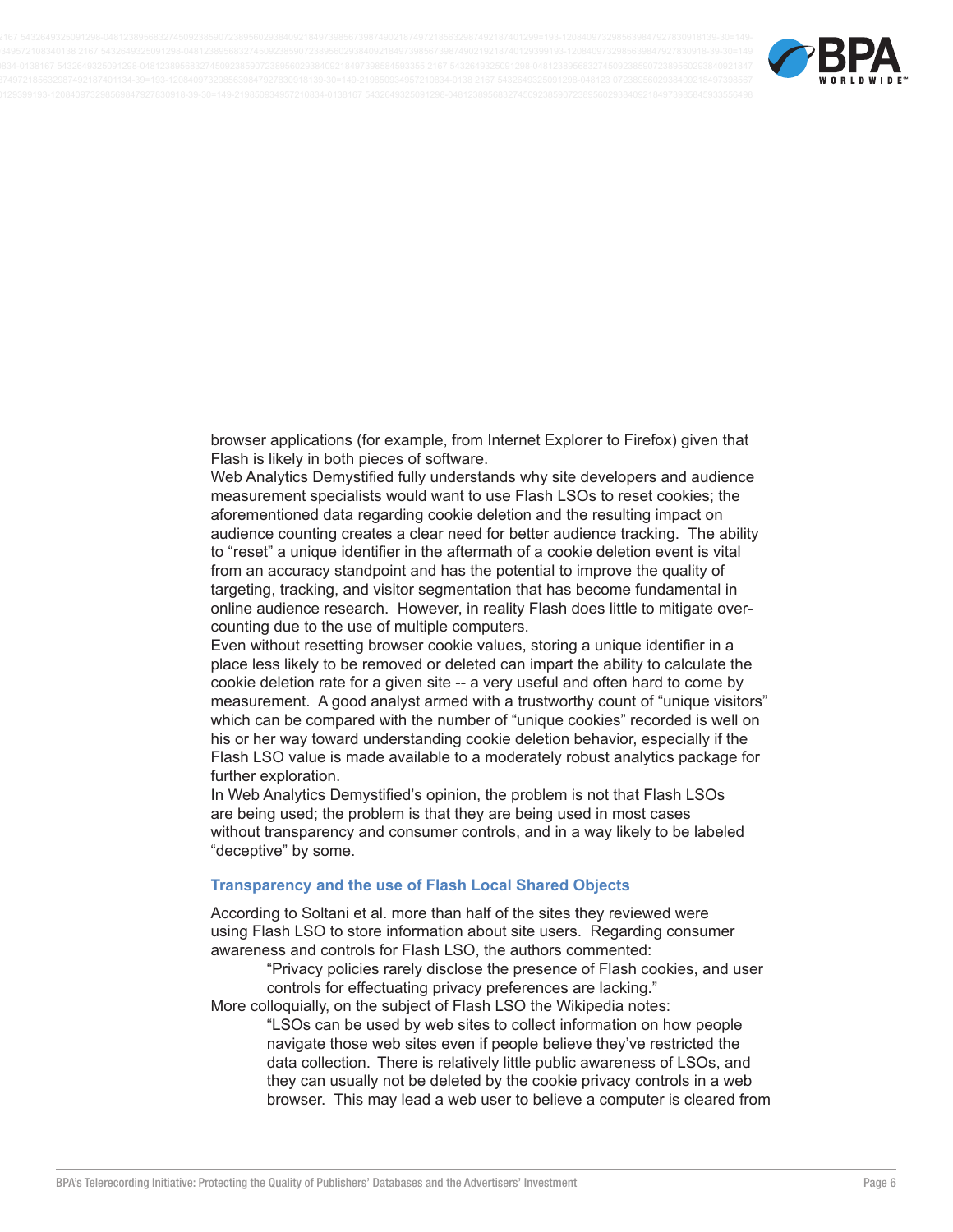

browser applications (for example, from Internet Explorer to Firefox) given that Flash is likely in both pieces of software.

Web Analytics Demystified fully understands why site developers and audience measurement specialists would want to use Flash LSOs to reset cookies; the aforementioned data regarding cookie deletion and the resulting impact on audience counting creates a clear need for better audience tracking. The ability to "reset" a unique identifier in the aftermath of a cookie deletion event is vital from an accuracy standpoint and has the potential to improve the quality of targeting, tracking, and visitor segmentation that has become fundamental in online audience research. However, in reality Flash does little to mitigate overcounting due to the use of multiple computers.

Even without resetting browser cookie values, storing a unique identifier in a place less likely to be removed or deleted can impart the ability to calculate the cookie deletion rate for a given site -- a very useful and often hard to come by measurement. A good analyst armed with a trustworthy count of "unique visitors" which can be compared with the number of "unique cookies" recorded is well on his or her way toward understanding cookie deletion behavior, especially if the Flash LSO value is made available to a moderately robust analytics package for further exploration.

In Web Analytics Demystified's opinion, the problem is not that Flash LSOs are being used; the problem is that they are being used in most cases without transparency and consumer controls, and in a way likely to be labeled "deceptive" by some.

#### **Transparency and the use of Flash Local Shared Objects**

According to Soltani et al. more than half of the sites they reviewed were using Flash LSO to store information about site users. Regarding consumer awareness and controls for Flash LSO, the authors commented:

"Privacy policies rarely disclose the presence of Flash cookies, and user controls for effectuating privacy preferences are lacking."

More colloquially, on the subject of Flash LSO the Wikipedia notes:

"LSOs can be used by web sites to collect information on how people navigate those web sites even if people believe they've restricted the data collection. There is relatively little public awareness of LSOs, and they can usually not be deleted by the cookie privacy controls in a web browser. This may lead a web user to believe a computer is cleared from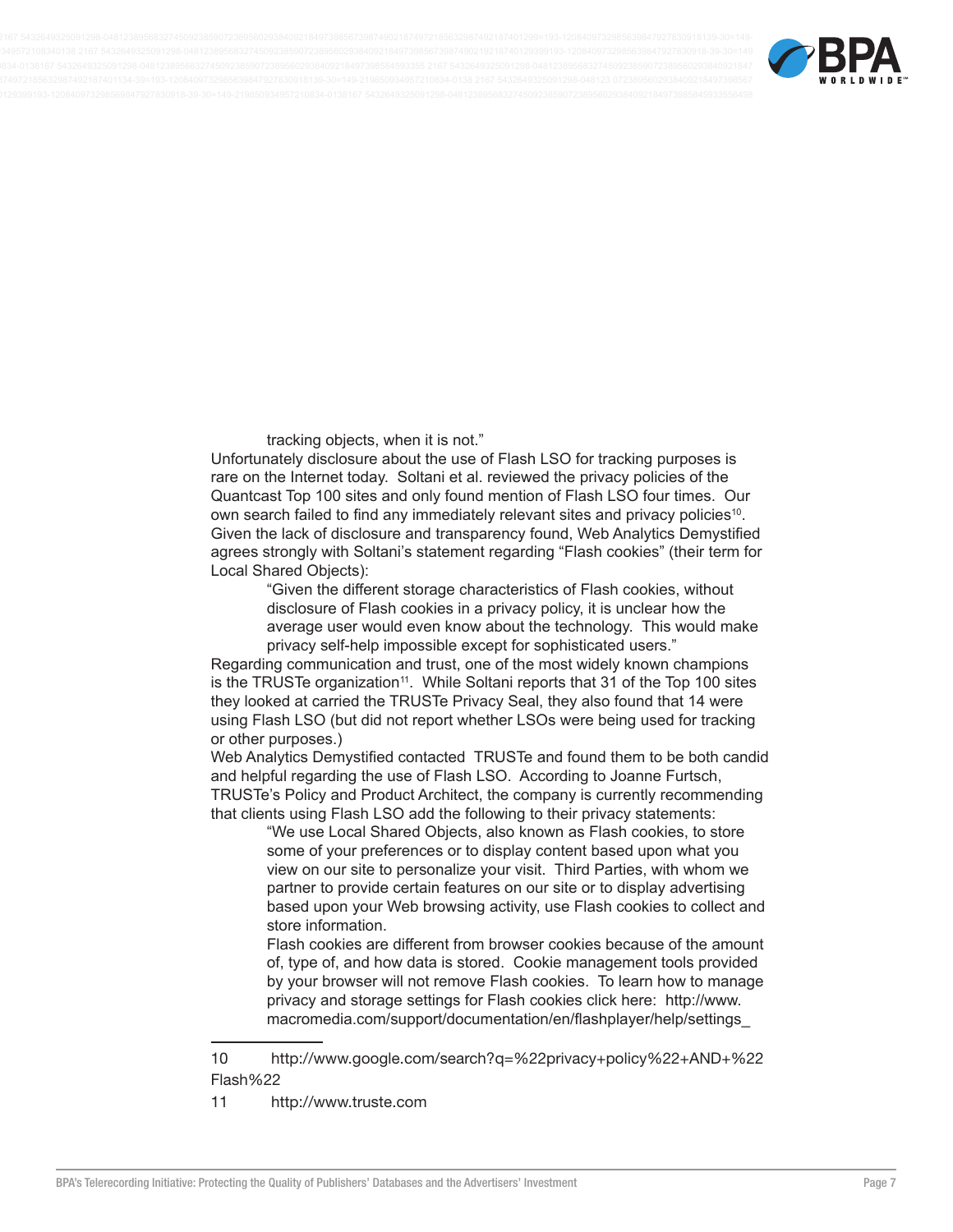

tracking objects, when it is not."

Unfortunately disclosure about the use of Flash LSO for tracking purposes is rare on the Internet today. Soltani et al. reviewed the privacy policies of the Quantcast Top 100 sites and only found mention of Flash LSO four times. Our own search failed to find any immediately relevant sites and privacy policies<sup>10</sup>. Given the lack of disclosure and transparency found, Web Analytics Demystified agrees strongly with Soltani's statement regarding "Flash cookies" (their term for Local Shared Objects):

> "Given the different storage characteristics of Flash cookies, without disclosure of Flash cookies in a privacy policy, it is unclear how the average user would even know about the technology. This would make privacy self-help impossible except for sophisticated users."

Regarding communication and trust, one of the most widely known champions is the TRUSTe organization<sup>11</sup>. While Soltani reports that 31 of the Top 100 sites they looked at carried the TRUSTe Privacy Seal, they also found that 14 were using Flash LSO (but did not report whether LSOs were being used for tracking or other purposes.)

Web Analytics Demystified contacted TRUSTe and found them to be both candid and helpful regarding the use of Flash LSO. According to Joanne Furtsch, TRUSTe's Policy and Product Architect, the company is currently recommending that clients using Flash LSO add the following to their privacy statements:

"We use Local Shared Objects, also known as Flash cookies, to store some of your preferences or to display content based upon what you view on our site to personalize your visit. Third Parties, with whom we partner to provide certain features on our site or to display advertising based upon your Web browsing activity, use Flash cookies to collect and store information.

Flash cookies are different from browser cookies because of the amount of, type of, and how data is stored. Cookie management tools provided by your browser will not remove Flash cookies. To learn how to manage privacy and storage settings for Flash cookies click here: http://www. macromedia.com/support/documentation/en/flashplayer/help/settings\_

 $11$ http://www.truste.com

 $10$ http://www.google.com/search?q=%22privacy+policy%22+AND+%22 Flash%22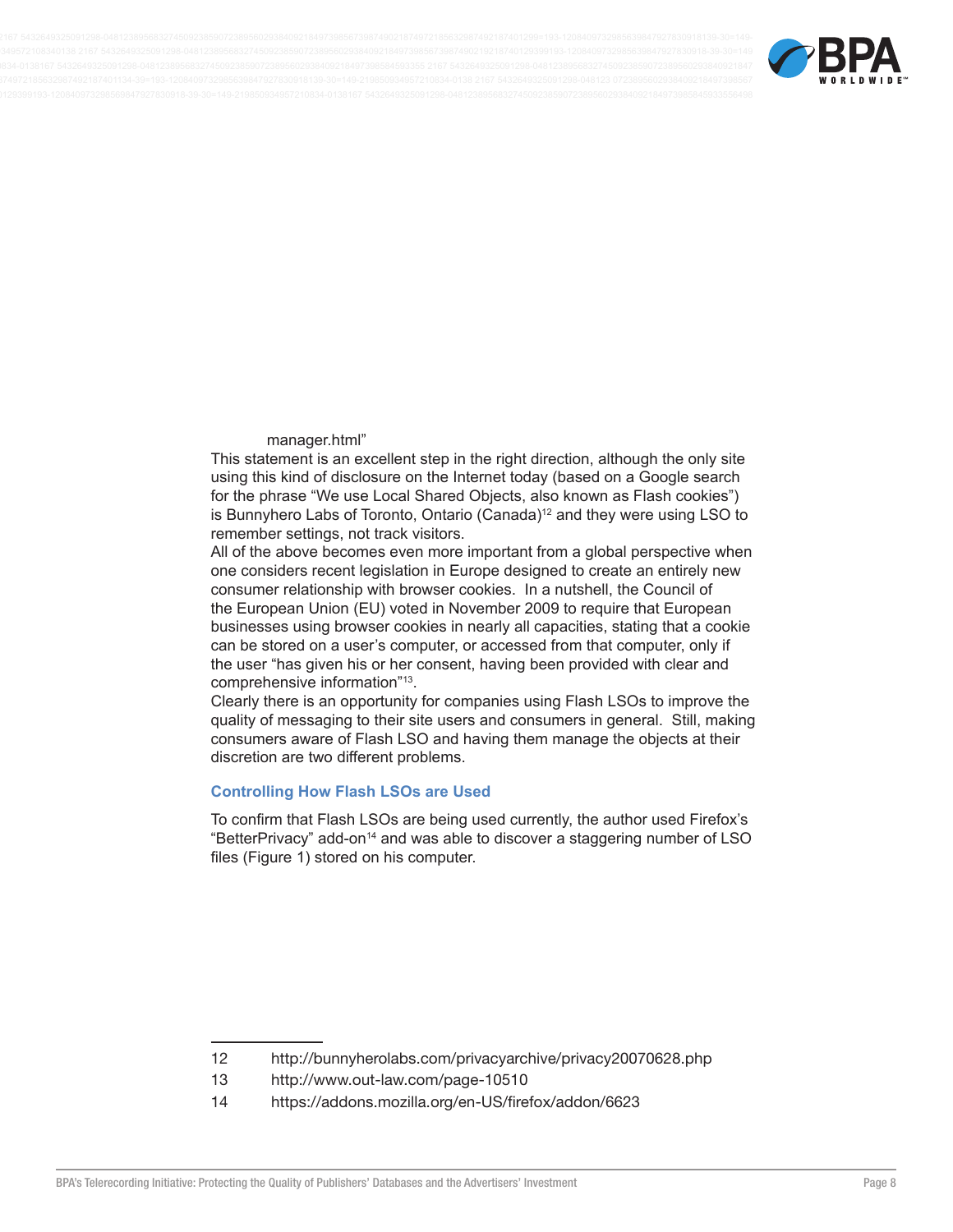

#### manager.html"

This statement is an excellent step in the right direction, although the only site using this kind of disclosure on the Internet today (based on a Google search for the phrase "We use Local Shared Objects, also known as Flash cookies") is Bunnyhero Labs of Toronto, Ontario (Canada)<sup>12</sup> and they were using LSO to remember settings, not track visitors.

All of the above becomes even more important from a global perspective when one considers recent legislation in Europe designed to create an entirely new consumer relationship with browser cookies. In a nutshell, the Council of the European Union (EU) voted in November 2009 to require that European businesses using browser cookies in nearly all capacities, stating that a cookie can be stored on a user's computer, or accessed from that computer, only if the user "has given his or her consent, having been provided with clear and comprehensive information"<sup>13</sup>.

Clearly there is an opportunity for companies using Flash LSOs to improve the quality of messaging to their site users and consumers in general. Still, making consumers aware of Flash LSO and having them manage the objects at their discretion are two different problems.

#### **Controlling How Flash LSOs are Used**

To confirm that Flash LSOs are being used currently, the author used Firefox's "BetterPrivacy" add-on<sup>14</sup> and was able to discover a staggering number of LSO files (Figure 1) stored on his computer.

 $12$ http://bunnyherolabs.com/privacyarchive/privacy20070628.php

 $13$ http://www.out-law.com/page-10510

 $14$ https://addons.mozilla.org/en-US/firefox/addon/6623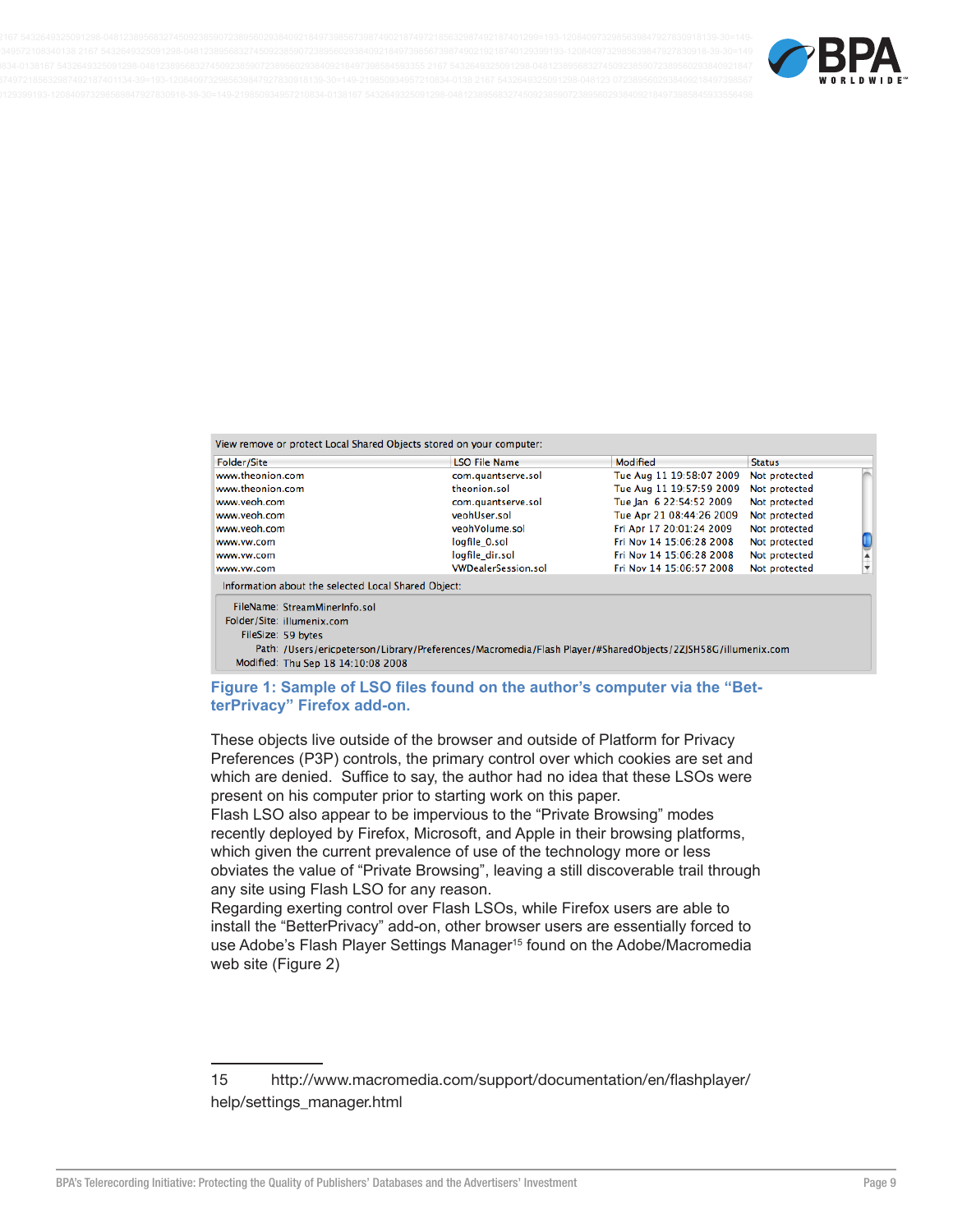

View remove or protect Local Shared Objects stored on your computer:

| Folder/Site                                         | <b>LSO File Name</b>       | Modified                 | <b>Status</b> |                      |
|-----------------------------------------------------|----------------------------|--------------------------|---------------|----------------------|
| www.theonion.com                                    | com.quantserve.sol         | Tue Aug 11 19:58:07 2009 | Not protected |                      |
| www.theonion.com                                    | theonion.sol               | Tue Aug 11 19:57:59 2009 | Not protected |                      |
| www.veoh.com                                        | com.quantserve.sol         | Tue Jan 6 22:54:52 2009  | Not protected |                      |
| www.veoh.com                                        | veohUser.sol               | Tue Apr 21 08:44:26 2009 | Not protected |                      |
| www.veoh.com                                        | veohVolume.sol             | Fri Apr 17 20:01:24 2009 | Not protected |                      |
| www.vw.com                                          | logfile 0.sol              | Fri Nov 14 15:06:28 2008 | Not protected |                      |
| www.vw.com                                          | logfile dir.sol            | Fri Nov 14 15:06:28 2008 | Not protected |                      |
| www.vw.com                                          | <b>VWDealerSession.sol</b> | Fri Nov 14 15:06:57 2008 | Not protected | $\frac{1}{\sqrt{2}}$ |
| Information about the selected Local Shared Object: |                            |                          |               |                      |
| FileName: StreamMinerInfo.sol                       |                            |                          |               |                      |

Folder/Site: illumenix.com FileSize: 59 bytes

Path: /Users/ericpeterson/Library/Preferences/Macromedia/Flash Player/#SharedObjects/2ZJSH58G/illumenix.com Modified: Thu Sep 18 14:10:08 2008

#### Figure 1: Sample of LSO files found on the author's computer via the "BetterPrivacy" Firefox add-on.

These objects live outside of the browser and outside of Platform for Privacy Preferences (P3P) controls, the primary control over which cookies are set and which are denied. Suffice to say, the author had no idea that these LSOs were present on his computer prior to starting work on this paper.

Flash LSO also appear to be impervious to the "Private Browsing" modes recently deployed by Firefox, Microsoft, and Apple in their browsing platforms, which given the current prevalence of use of the technology more or less obviates the value of "Private Browsing", leaving a still discoverable trail through any site using Flash LSO for any reason.

Regarding exerting control over Flash LSOs, while Firefox users are able to install the "BetterPrivacy" add-on, other browser users are essentially forced to use Adobe's Flash Player Settings Manager<sup>15</sup> found on the Adobe/Macromedia web site (Figure 2)

http://www.macromedia.com/support/documentation/en/flashplayer/ 15 help/settings\_manager.html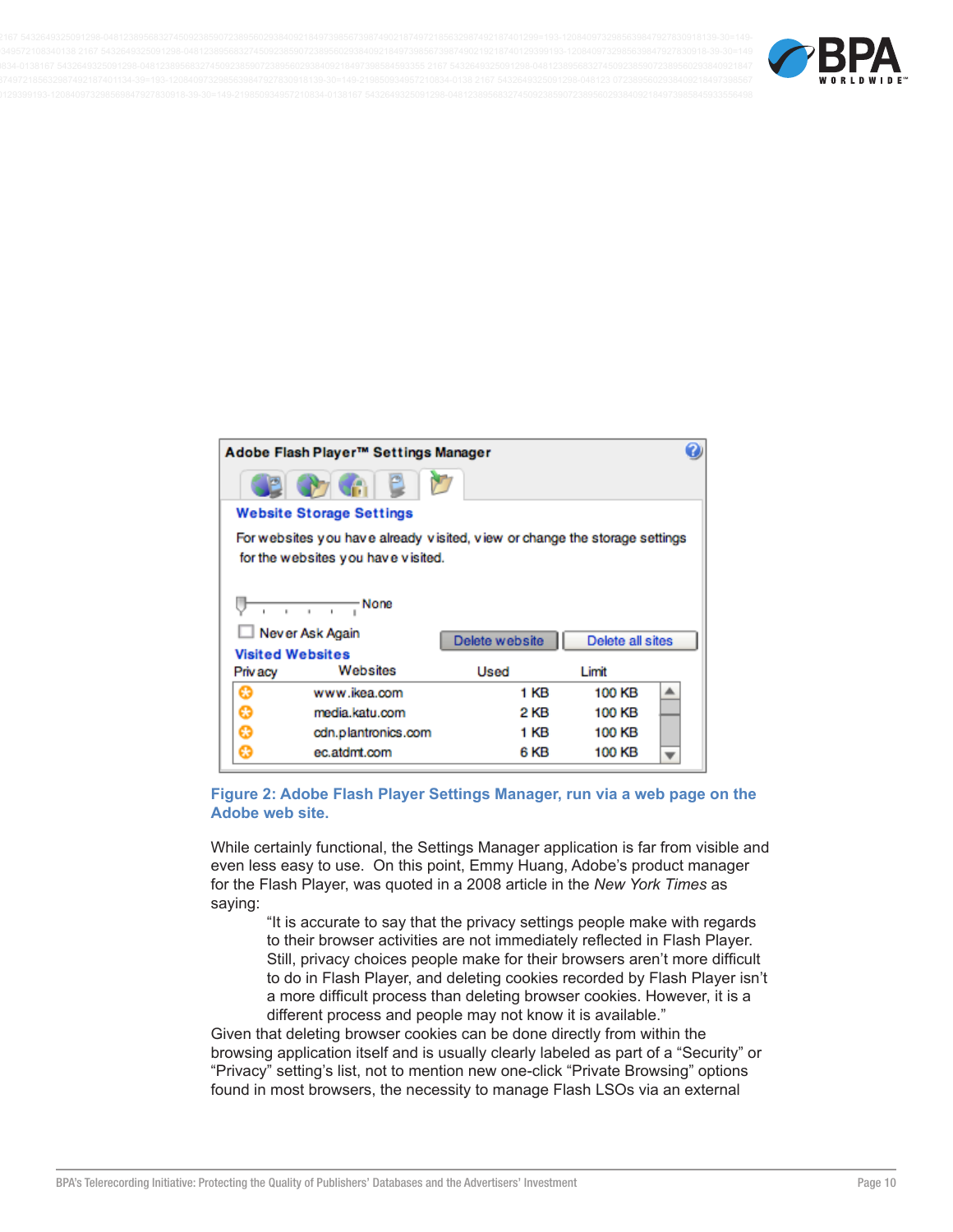

| Adobe Flash Player™ Settings Manager |                                                                            |                |                  |  |
|--------------------------------------|----------------------------------------------------------------------------|----------------|------------------|--|
|                                      |                                                                            |                |                  |  |
|                                      | <b>Website Storage Settings</b>                                            |                |                  |  |
|                                      | For websites you have already visited, view or change the storage settings |                |                  |  |
|                                      | for the websites you have visited.                                         |                |                  |  |
|                                      |                                                                            |                |                  |  |
|                                      | - None                                                                     |                |                  |  |
|                                      | Never Ask Again                                                            | Delete website | Delete all sites |  |
| <b>Visited Websites</b>              |                                                                            |                |                  |  |
| Priv acy                             | Websites                                                                   | Used           | Limit            |  |
| A                                    | www.ikea.com                                                               | 1 KB           | 100 KB           |  |
| ☺                                    | media.katu.com                                                             | 2 KB           | 100 KB           |  |
|                                      |                                                                            |                |                  |  |
| ☺                                    | cdn.plantronics.com                                                        | 1 KB           | 100 KB           |  |

#### Figure 2: Adobe Flash Player Settings Manager, run via a web page on the Adobe web site.

While certainly functional, the Settings Manager application is far from visible and even less easy to use. On this point, Emmy Huang, Adobe's product manager for the Flash Player, was quoted in a 2008 article in the New York Times as saying:

"It is accurate to say that the privacy settings people make with regards to their browser activities are not immediately reflected in Flash Player. Still, privacy choices people make for their browsers aren't more difficult to do in Flash Player, and deleting cookies recorded by Flash Player isn't a more difficult process than deleting browser cookies. However, it is a different process and people may not know it is available."

Given that deleting browser cookies can be done directly from within the browsing application itself and is usually clearly labeled as part of a "Security" or "Privacy" setting's list, not to mention new one-click "Private Browsing" options found in most browsers, the necessity to manage Flash LSOs via an external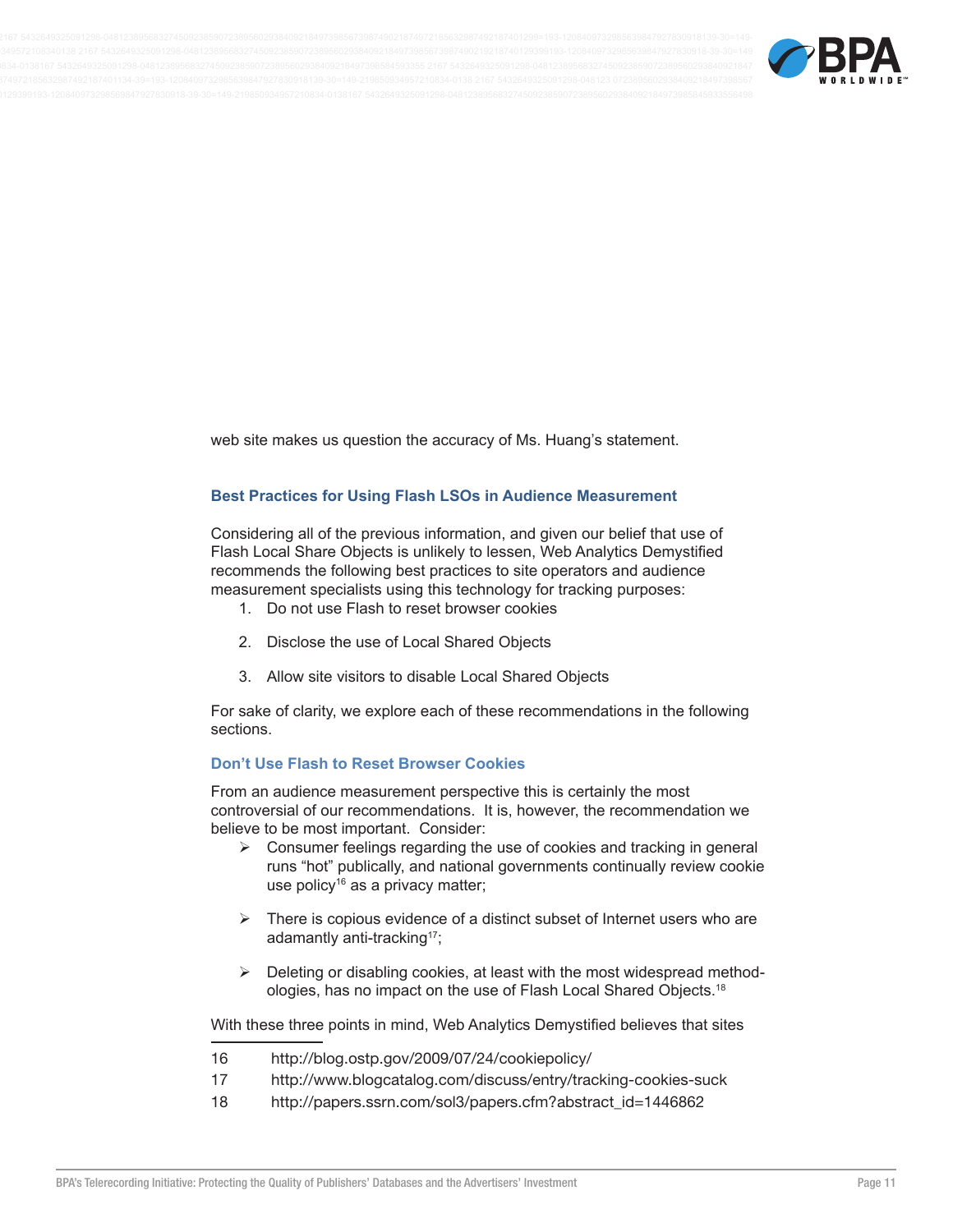

web site makes us question the accuracy of Ms. Huang's statement.

#### **Best Practices for Using Flash LSOs in Audience Measurement**

Considering all of the previous information, and given our belief that use of Flash Local Share Objects is unlikely to lessen, Web Analytics Demystified recommends the following best practices to site operators and audience measurement specialists using this technology for tracking purposes:

- 1. Do not use Flash to reset browser cookies
- 2. Disclose the use of Local Shared Objects
- 3. Allow site visitors to disable Local Shared Objects

For sake of clarity, we explore each of these recommendations in the following sections.

#### **Don't Use Flash to Reset Browser Cookies**

From an audience measurement perspective this is certainly the most controversial of our recommendations. It is, however, the recommendation we believe to be most important. Consider:

- $\triangleright$  Consumer feelings regarding the use of cookies and tracking in general runs "hot" publically, and national governments continually review cookie use policy<sup>16</sup> as a privacy matter;
- $\triangleright$  There is copious evidence of a distinct subset of Internet users who are adamantly anti-tracking<sup>17</sup>;
- $\triangleright$  Deleting or disabling cookies, at least with the most widespread methodologies, has no impact on the use of Flash Local Shared Objects.<sup>18</sup>

With these three points in mind, Web Analytics Demystified believes that sites

- 16 http://blog.ostp.gov/2009/07/24/cookiepolicy/
- $17$ http://www.blogcatalog.com/discuss/entry/tracking-cookies-suck
- 18 http://papers.ssrn.com/sol3/papers.cfm?abstract\_id=1446862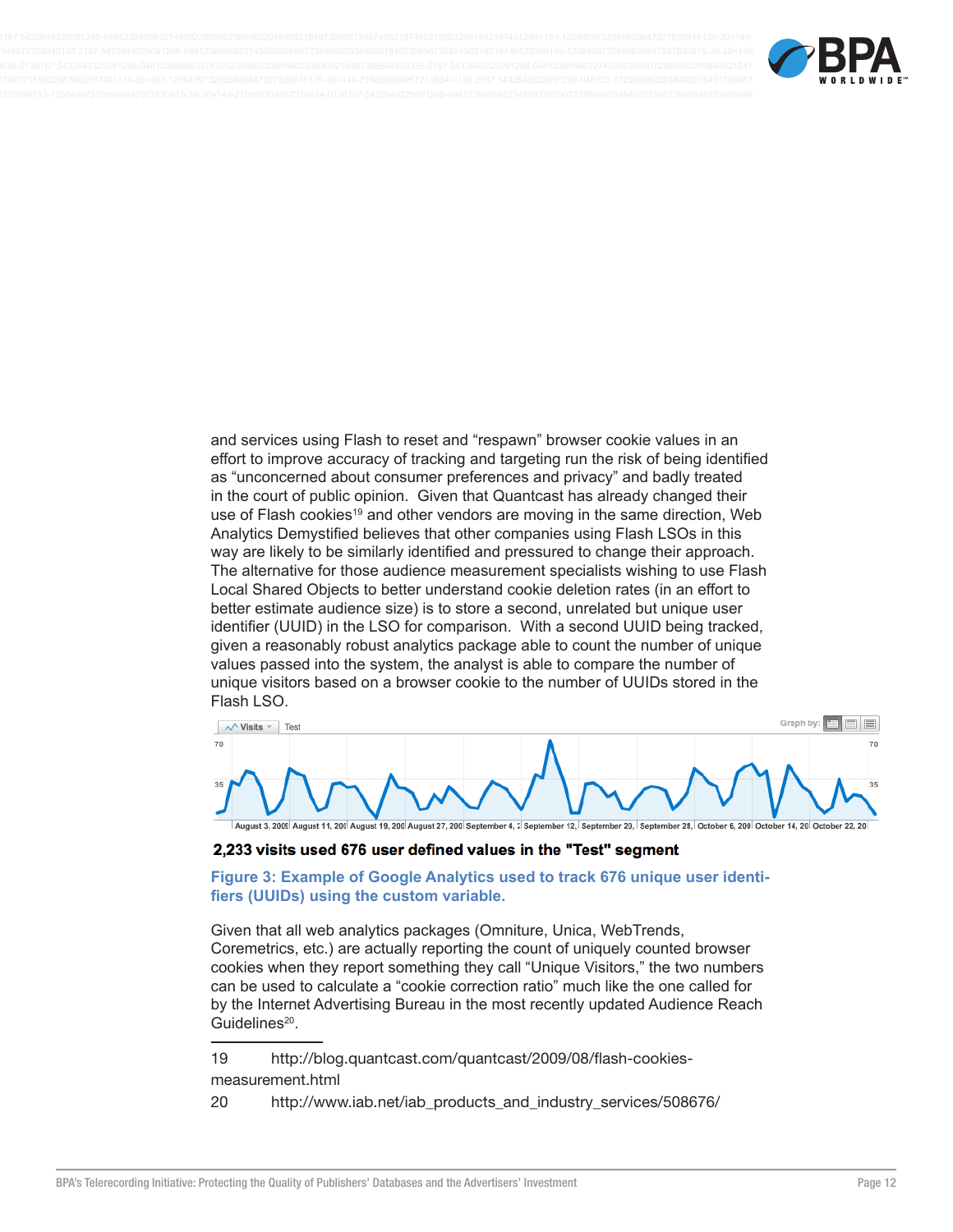

and services using Flash to reset and "respawn" browser cookie values in an effort to improve accuracy of tracking and targeting run the risk of being identified as "unconcerned about consumer preferences and privacy" and badly treated in the court of public opinion. Given that Quantcast has already changed their use of Flash cookies<sup>19</sup> and other vendors are moving in the same direction, Web Analytics Demystified believes that other companies using Flash LSOs in this way are likely to be similarly identified and pressured to change their approach. The alternative for those audience measurement specialists wishing to use Flash Local Shared Objects to better understand cookie deletion rates (in an effort to better estimate audience size) is to store a second, unrelated but unique user identifier (UUID) in the LSO for comparison. With a second UUID being tracked, given a reasonably robust analytics package able to count the number of unique values passed into the system, the analyst is able to compare the number of unique visitors based on a browser cookie to the number of UUIDs stored in the Flash LSO.



#### 2,233 visits used 676 user defined values in the "Test" segment

Figure 3: Example of Google Analytics used to track 676 unique user identifiers (UUIDs) using the custom variable.

Given that all web analytics packages (Omniture, Unica, WebTrends, Coremetrics, etc.) are actually reporting the count of uniquely counted browser cookies when they report something they call "Unique Visitors," the two numbers can be used to calculate a "cookie correction ratio" much like the one called for by the Internet Advertising Bureau in the most recently updated Audience Reach Guidelines<sup>20</sup>.

19 http://blog.quantcast.com/quantcast/2009/08/flash-cookies-

#### measurement.html

20 http://www.iab.net/iab\_products\_and\_industry\_services/508676/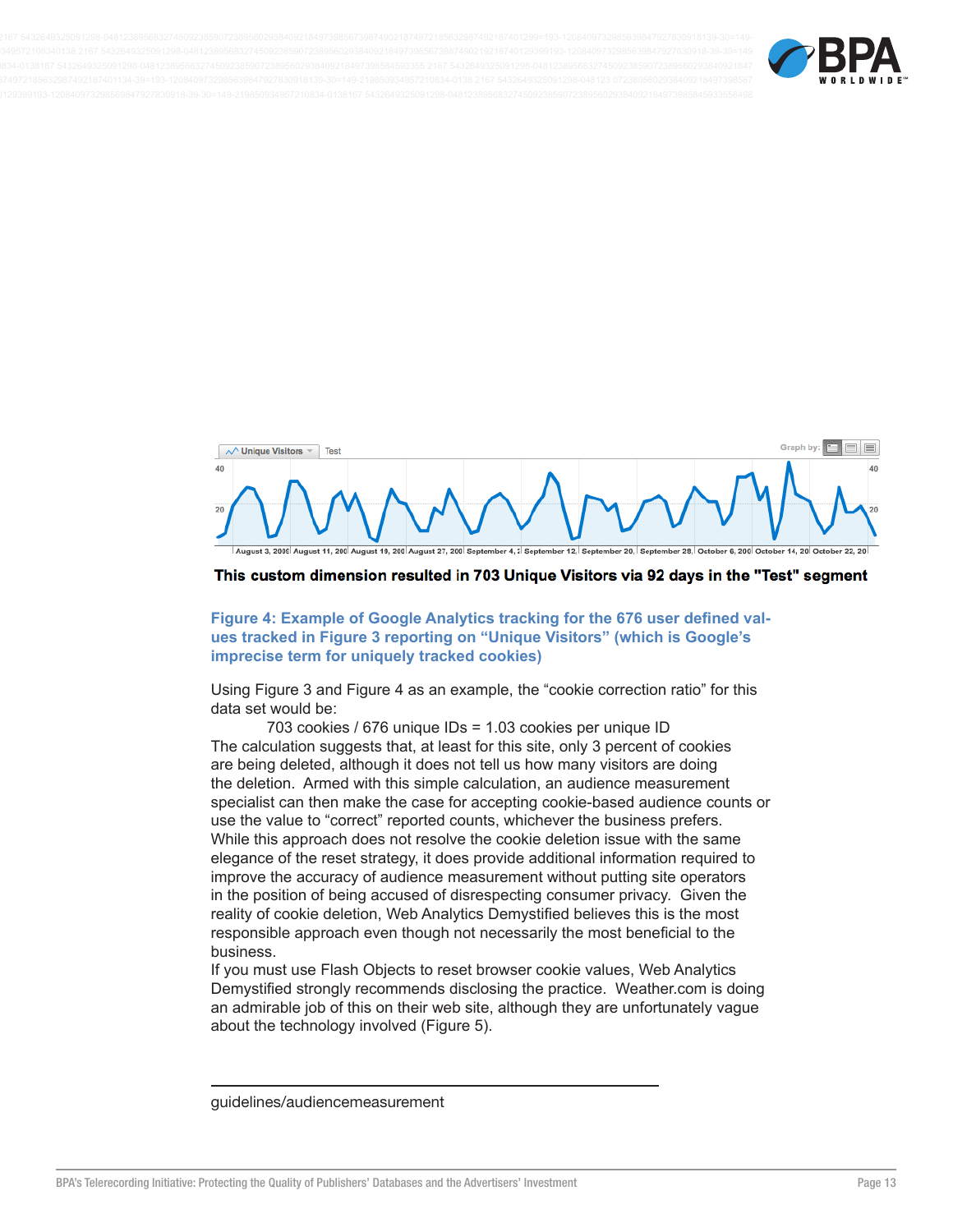



#### This custom dimension resulted in 703 Unique Visitors via 92 days in the "Test" segment

Figure 4: Example of Google Analytics tracking for the 676 user defined values tracked in Figure 3 reporting on "Unique Visitors" (which is Google's imprecise term for uniquely tracked cookies)

Using Figure 3 and Figure 4 as an example, the "cookie correction ratio" for this data set would be:

703 cookies / 676 unique IDs = 1.03 cookies per unique ID The calculation suggests that, at least for this site, only 3 percent of cookies are being deleted, although it does not tell us how many visitors are doing the deletion. Armed with this simple calculation, an audience measurement specialist can then make the case for accepting cookie-based audience counts or use the value to "correct" reported counts, whichever the business prefers. While this approach does not resolve the cookie deletion issue with the same elegance of the reset strategy, it does provide additional information required to improve the accuracy of audience measurement without putting site operators in the position of being accused of disrespecting consumer privacy. Given the reality of cookie deletion, Web Analytics Demystified believes this is the most responsible approach even though not necessarily the most beneficial to the business.

If you must use Flash Objects to reset browser cookie values, Web Analytics Demystified strongly recommends disclosing the practice. Weather.com is doing an admirable job of this on their web site, although they are unfortunately vague about the technology involved (Figure 5).

guidelines/audiencemeasurement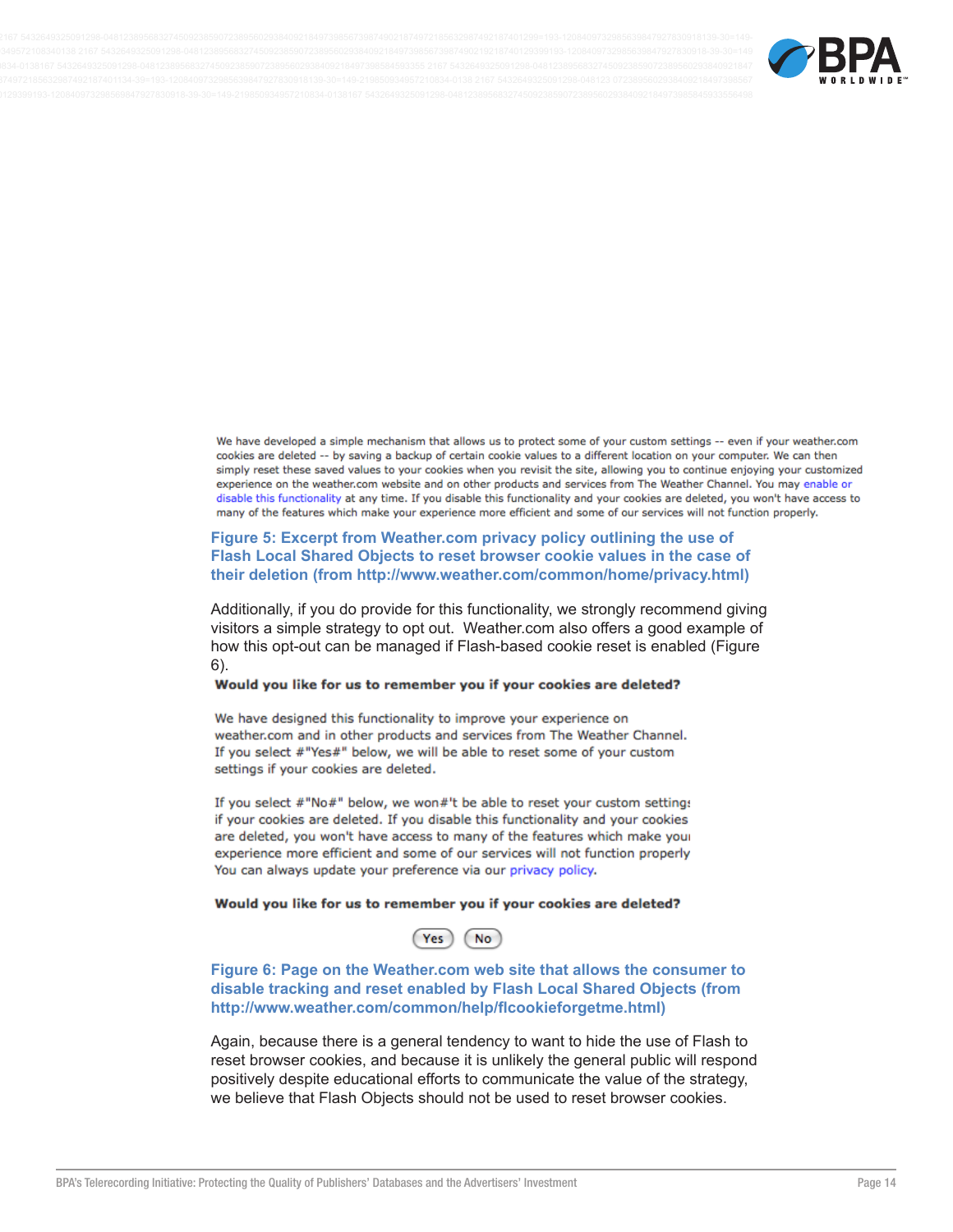

We have developed a simple mechanism that allows us to protect some of your custom settings -- even if your weather.com cookies are deleted -- by saving a backup of certain cookie values to a different location on your computer. We can then simply reset these saved values to your cookies when you revisit the site, allowing you to continue enjoying your customized experience on the weather.com website and on other products and services from The Weather Channel. You may enable or disable this functionality at any time. If you disable this functionality and your cookies are deleted, you won't have access to many of the features which make your experience more efficient and some of our services will not function properly.

#### Figure 5: Excerpt from Weather.com privacy policy outlining the use of Flash Local Shared Objects to reset browser cookie values in the case of their deletion (from http://www.weather.com/common/home/privacy.html)

Additionally, if you do provide for this functionality, we strongly recommend giving visitors a simple strategy to opt out. Weather.com also offers a good example of how this opt-out can be managed if Flash-based cookie reset is enabled (Figure  $6$ ).

#### Would you like for us to remember you if your cookies are deleted?

We have designed this functionality to improve your experience on weather.com and in other products and services from The Weather Channel. If you select #"Yes#" below, we will be able to reset some of your custom settings if your cookies are deleted.

If you select #"No#" below, we won#'t be able to reset your custom setting: if your cookies are deleted. If you disable this functionality and your cookies are deleted, you won't have access to many of the features which make your experience more efficient and some of our services will not function properly You can always update your preference via our privacy policy.

#### Would you like for us to remember you if your cookies are deleted?

Figure 6: Page on the Weather.com web site that allows the consumer to disable tracking and reset enabled by Flash Local Shared Objects (from http://www.weather.com/common/help/flcookieforgetme.html)

Again, because there is a general tendency to want to hide the use of Flash to reset browser cookies, and because it is unlikely the general public will respond positively despite educational efforts to communicate the value of the strategy, we believe that Flash Objects should not be used to reset browser cookies.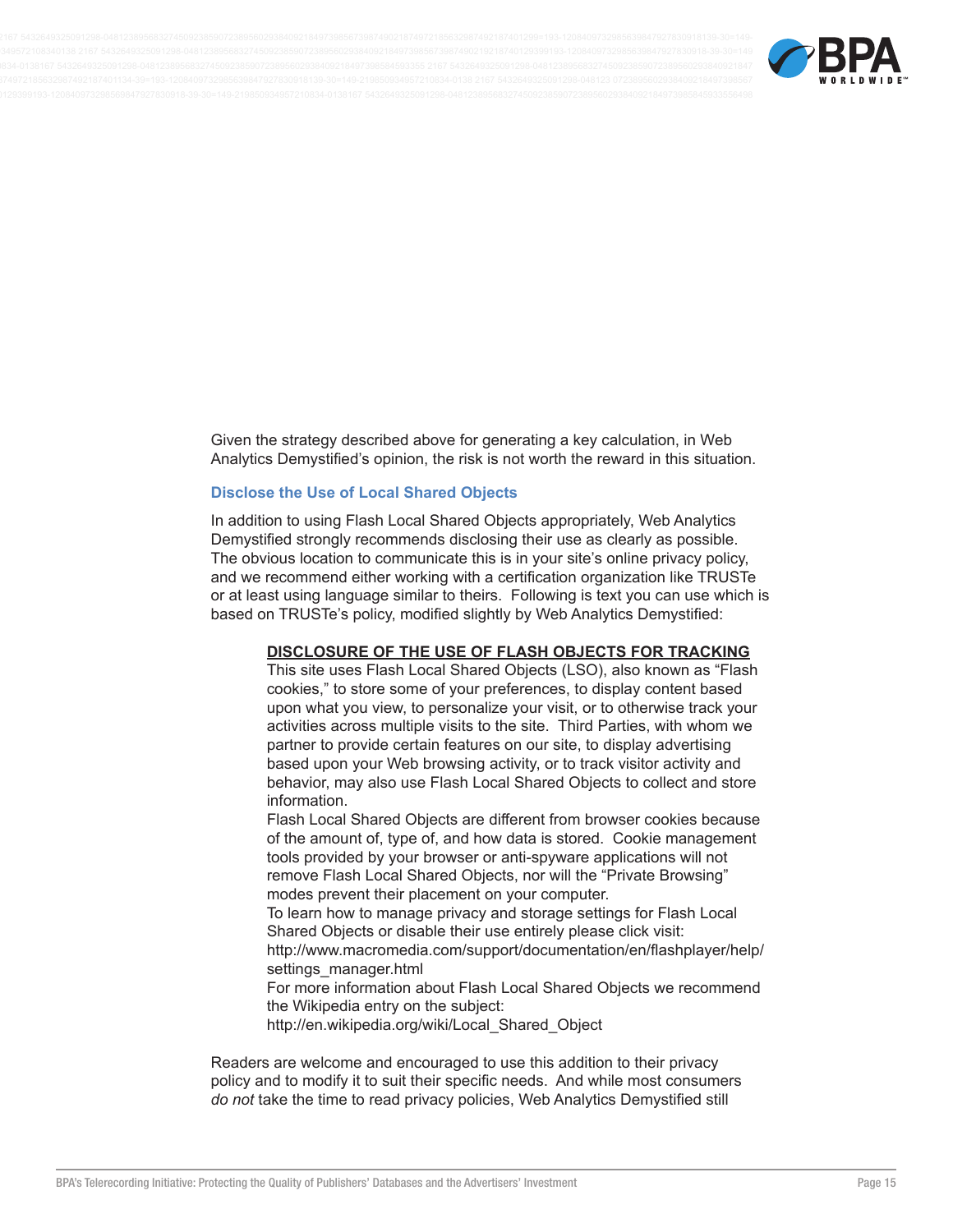

Given the strategy described above for generating a key calculation, in Web Analytics Demystified's opinion, the risk is not worth the reward in this situation.

#### **Disclose the Use of Local Shared Objects**

In addition to using Flash Local Shared Objects appropriately, Web Analytics Demystified strongly recommends disclosing their use as clearly as possible. The obvious location to communicate this is in your site's online privacy policy, and we recommend either working with a certification organization like TRUSTe or at least using language similar to theirs. Following is text you can use which is based on TRUSTe's policy, modified slightly by Web Analytics Demystified:

## DISCLOSURE OF THE USE OF FLASH OBJECTS FOR TRACKING

This site uses Flash Local Shared Objects (LSO), also known as "Flash cookies," to store some of your preferences, to display content based upon what you view, to personalize your visit, or to otherwise track your activities across multiple visits to the site. Third Parties, with whom we partner to provide certain features on our site, to display advertising based upon your Web browsing activity, or to track visitor activity and behavior, may also use Flash Local Shared Objects to collect and store information.

Flash Local Shared Objects are different from browser cookies because of the amount of, type of, and how data is stored. Cookie management tools provided by your browser or anti-spyware applications will not remove Flash Local Shared Objects, nor will the "Private Browsing" modes prevent their placement on your computer.

To learn how to manage privacy and storage settings for Flash Local Shared Objects or disable their use entirely please click visit:

http://www.macromedia.com/support/documentation/en/flashplayer/help/ settings manager.html

For more information about Flash Local Shared Objects we recommend the Wikipedia entry on the subject:

http://en.wikipedia.org/wiki/Local\_Shared\_Object

Readers are welcome and encouraged to use this addition to their privacy policy and to modify it to suit their specific needs. And while most consumers do not take the time to read privacy policies, Web Analytics Demystified still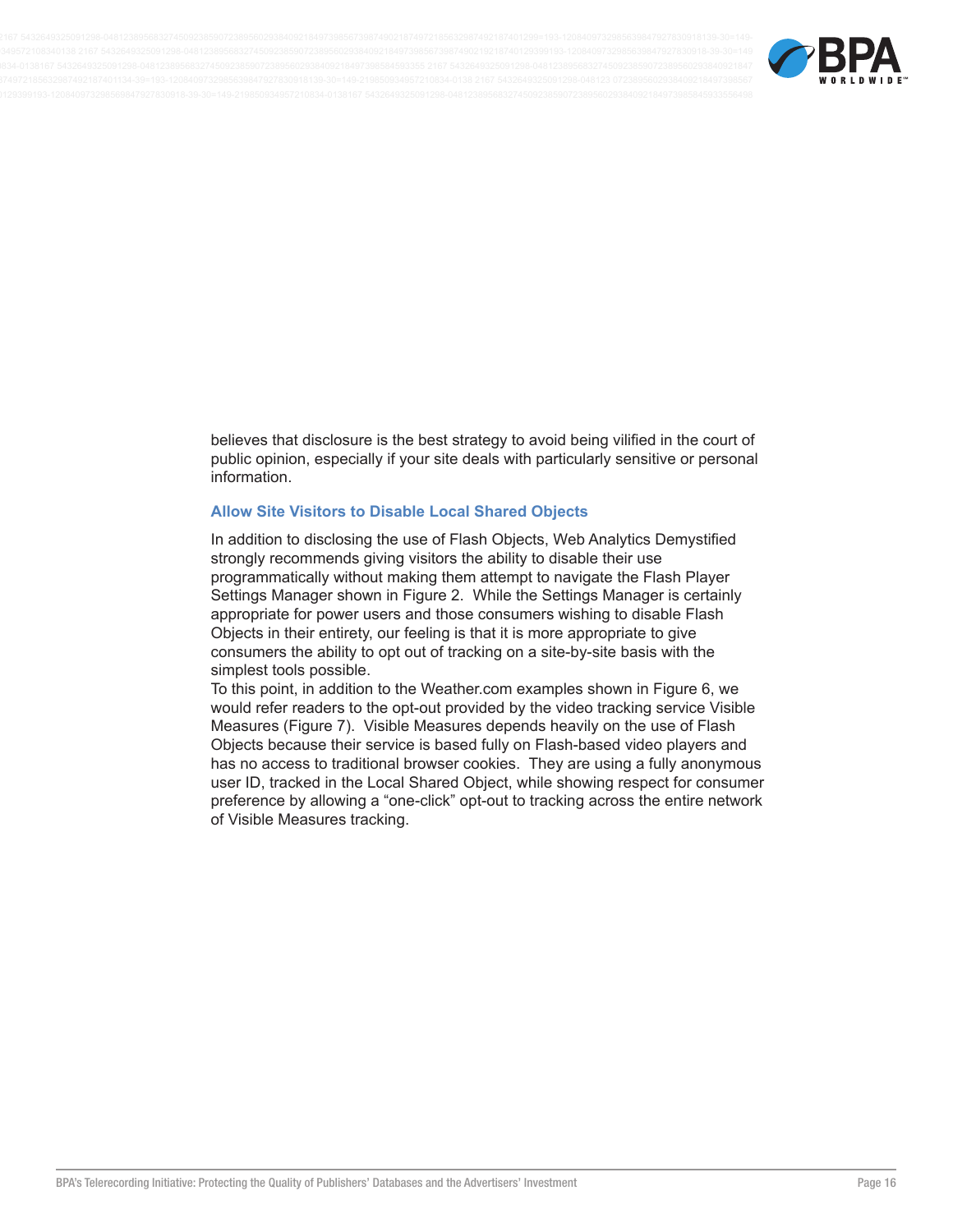

believes that disclosure is the best strategy to avoid being vilified in the court of public opinion, especially if your site deals with particularly sensitive or personal information.

#### **Allow Site Visitors to Disable Local Shared Objects**

In addition to disclosing the use of Flash Objects, Web Analytics Demystified strongly recommends giving visitors the ability to disable their use programmatically without making them attempt to navigate the Flash Player Settings Manager shown in Figure 2. While the Settings Manager is certainly appropriate for power users and those consumers wishing to disable Flash Objects in their entirety, our feeling is that it is more appropriate to give consumers the ability to opt out of tracking on a site-by-site basis with the simplest tools possible.

To this point, in addition to the Weather.com examples shown in Figure 6, we would refer readers to the opt-out provided by the video tracking service Visible Measures (Figure 7). Visible Measures depends heavily on the use of Flash Objects because their service is based fully on Flash-based video players and has no access to traditional browser cookies. They are using a fully anonymous user ID, tracked in the Local Shared Object, while showing respect for consumer preference by allowing a "one-click" opt-out to tracking across the entire network of Visible Measures tracking.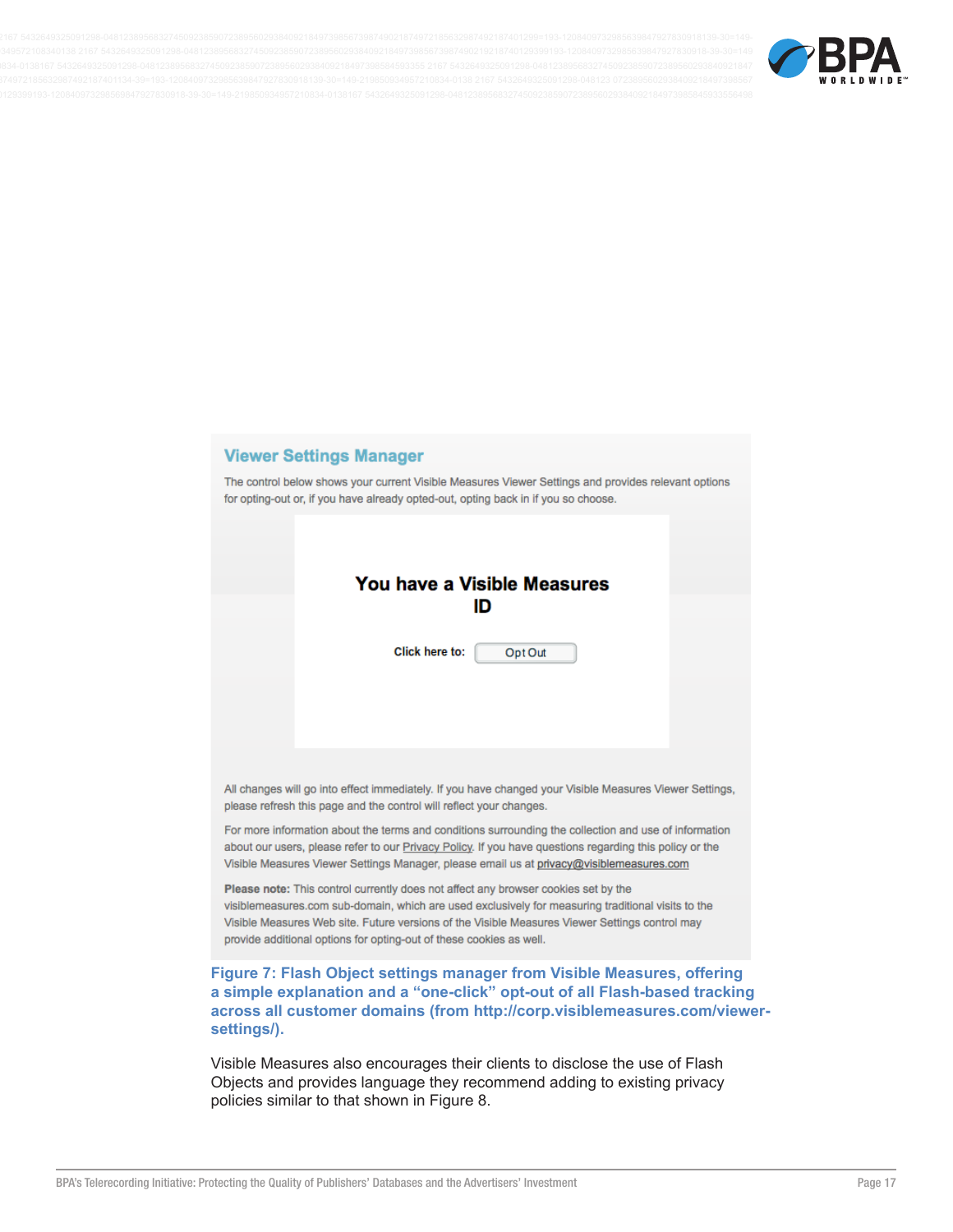

# **Viewer Settings Manager**

The control below shows your current Visible Measures Viewer Settings and provides relevant options for opting-out or, if you have already opted-out, opting back in if you so choose.

|                                                                                                                                                                                                                                                                                                                                                                   |                                                                     | You have a Visible Measures<br>ID                                                                                                                                                                                                                                                                            |  |  |  |
|-------------------------------------------------------------------------------------------------------------------------------------------------------------------------------------------------------------------------------------------------------------------------------------------------------------------------------------------------------------------|---------------------------------------------------------------------|--------------------------------------------------------------------------------------------------------------------------------------------------------------------------------------------------------------------------------------------------------------------------------------------------------------|--|--|--|
|                                                                                                                                                                                                                                                                                                                                                                   | <b>Click here to:</b>                                               | Opt Out                                                                                                                                                                                                                                                                                                      |  |  |  |
|                                                                                                                                                                                                                                                                                                                                                                   |                                                                     |                                                                                                                                                                                                                                                                                                              |  |  |  |
|                                                                                                                                                                                                                                                                                                                                                                   | please refresh this page and the control will reflect your changes. | All changes will go into effect immediately. If you have changed your Visible Measures Viewer Settings,                                                                                                                                                                                                      |  |  |  |
|                                                                                                                                                                                                                                                                                                                                                                   |                                                                     | For more information about the terms and conditions surrounding the collection and use of information<br>about our users, please refer to our Privacy Policy. If you have questions regarding this policy or the<br>Visible Measures Viewer Settings Manager, please email us at privacy@visiblemeasures.com |  |  |  |
| Please note: This control currently does not affect any browser cookies set by the<br>visiblemeasures.com sub-domain, which are used exclusively for measuring traditional visits to the<br>Visible Measures Web site. Future versions of the Visible Measures Viewer Settings control may<br>provide additional options for opting-out of these cookies as well. |                                                                     |                                                                                                                                                                                                                                                                                                              |  |  |  |
| settings/).                                                                                                                                                                                                                                                                                                                                                       |                                                                     | Figure 7: Flash Object settings manager from Visible Measures, offering<br>a simple explanation and a "one-click" opt-out of all Flash-based tracking<br>across all customer domains (from http://corp.visiblemeasures.com/viewer-                                                                           |  |  |  |
|                                                                                                                                                                                                                                                                                                                                                                   |                                                                     | Visible Measures also encourages their clients to disclose the use of Flash                                                                                                                                                                                                                                  |  |  |  |

Visible Measures also encourages their clients to disclose the use of Flash Objects and provides language they recommend adding to existing privacy policies similar to that shown in Figure 8.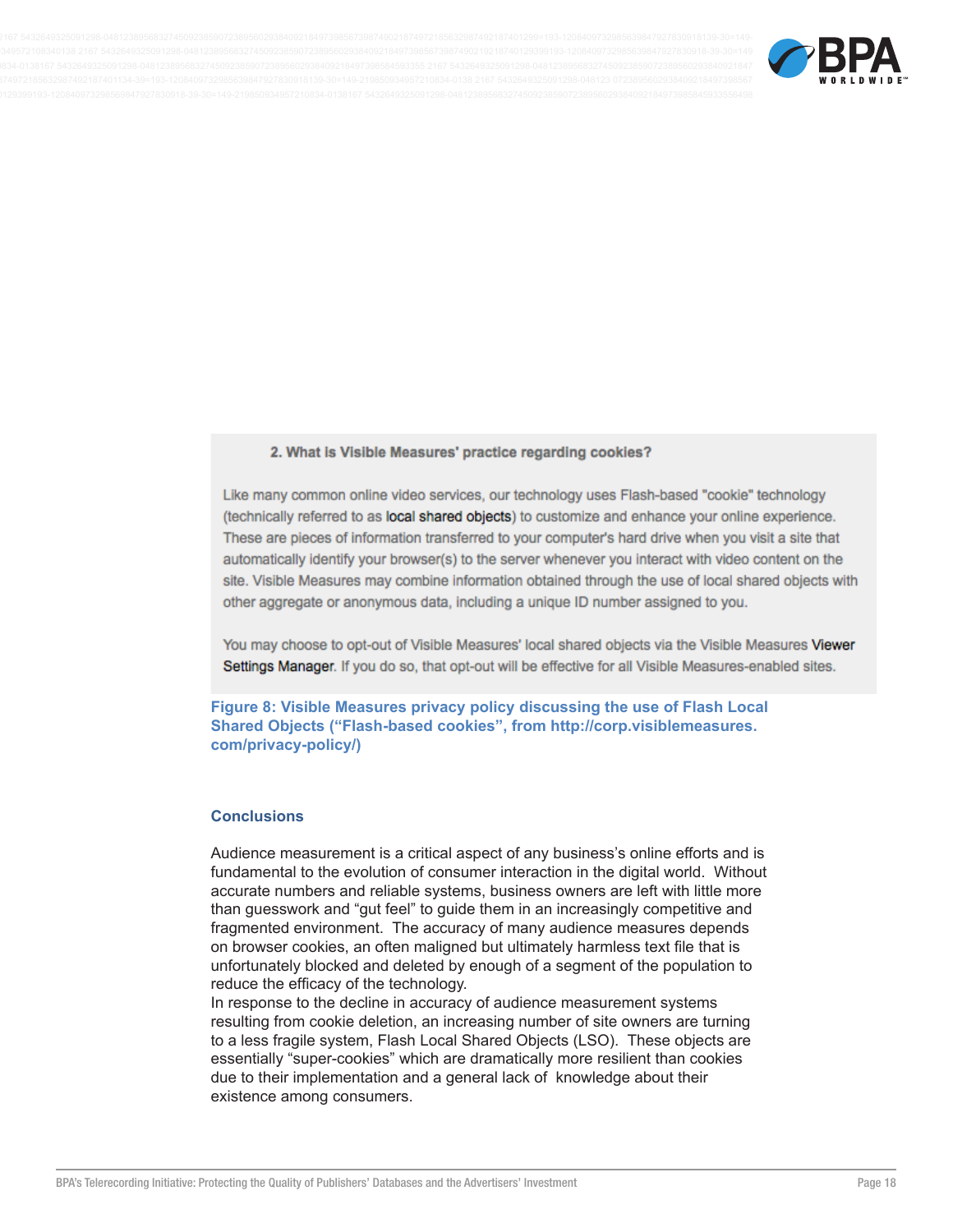

#### 2. What is Visible Measures' practice regarding cookies?

Like many common online video services, our technology uses Flash-based "cookie" technology (technically referred to as local shared objects) to customize and enhance your online experience. These are pieces of information transferred to your computer's hard drive when you visit a site that automatically identify your browser(s) to the server whenever you interact with video content on the site. Visible Measures may combine information obtained through the use of local shared objects with other aggregate or anonymous data, including a unique ID number assigned to you.

You may choose to opt-out of Visible Measures' local shared objects via the Visible Measures Viewer Settings Manager. If you do so, that opt-out will be effective for all Visible Measures-enabled sites.

Figure 8: Visible Measures privacy policy discussing the use of Flash Local Shared Objects ("Flash-based cookies", from http://corp.visiblemeasures. com/privacy-policy/)

#### **Conclusions**

Audience measurement is a critical aspect of any business's online efforts and is fundamental to the evolution of consumer interaction in the digital world. Without accurate numbers and reliable systems, business owners are left with little more than guesswork and "gut feel" to guide them in an increasingly competitive and fragmented environment. The accuracy of many audience measures depends on browser cookies, an often maligned but ultimately harmless text file that is unfortunately blocked and deleted by enough of a segment of the population to reduce the efficacy of the technology.

In response to the decline in accuracy of audience measurement systems resulting from cookie deletion, an increasing number of site owners are turning to a less fragile system, Flash Local Shared Objects (LSO). These objects are essentially "super-cookies" which are dramatically more resilient than cookies due to their implementation and a general lack of knowledge about their existence among consumers.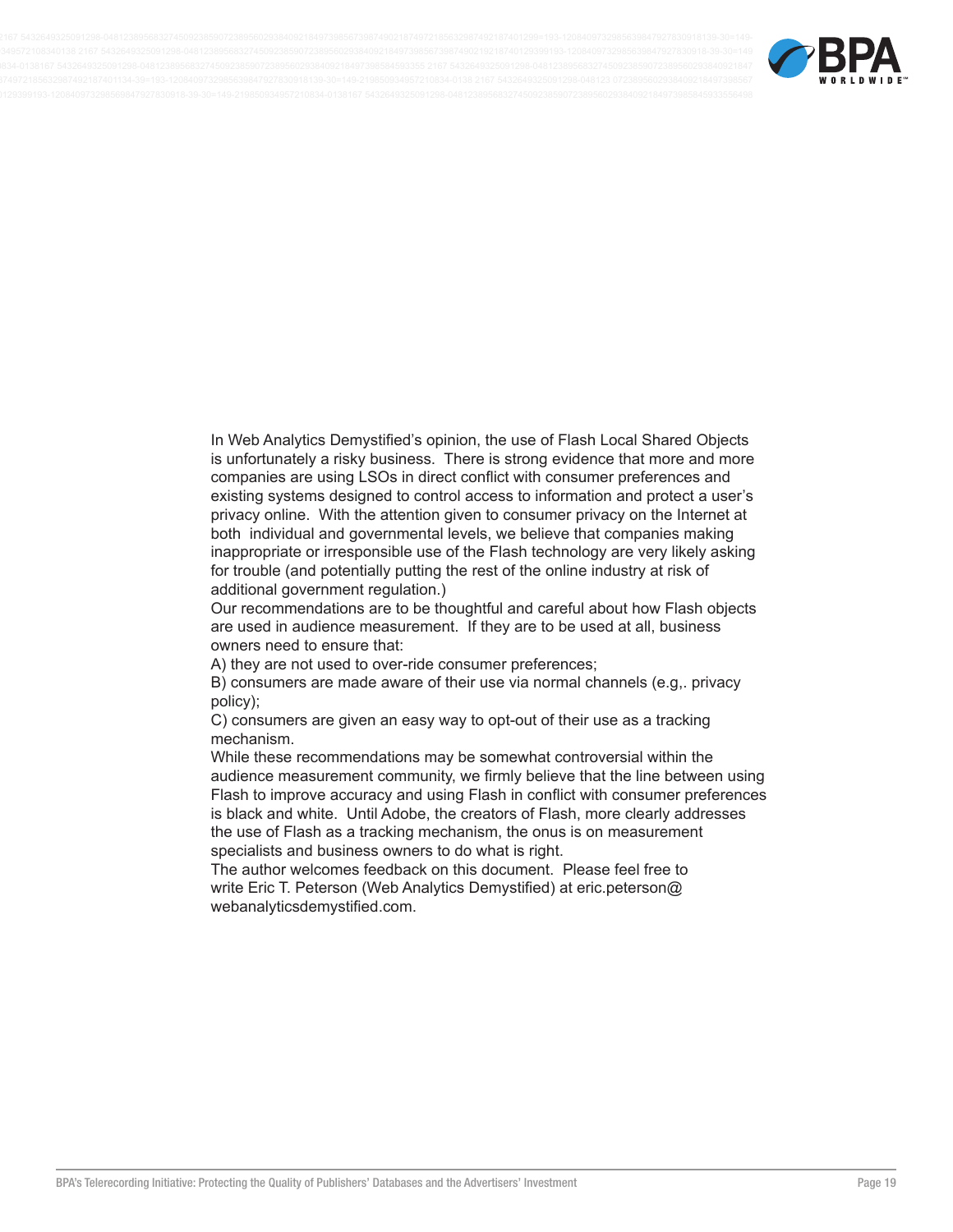

In Web Analytics Demystified's opinion, the use of Flash Local Shared Objects is unfortunately a risky business. There is strong evidence that more and more companies are using LSOs in direct conflict with consumer preferences and existing systems designed to control access to information and protect a user's privacy online. With the attention given to consumer privacy on the Internet at both individual and governmental levels, we believe that companies making inappropriate or irresponsible use of the Flash technology are very likely asking for trouble (and potentially putting the rest of the online industry at risk of additional government regulation.)

Our recommendations are to be thoughtful and careful about how Flash objects are used in audience measurement. If they are to be used at all, business owners need to ensure that:

A) they are not used to over-ride consumer preferences;

B) consumers are made aware of their use via normal channels (e.g. privacy policy);

C) consumers are given an easy way to opt-out of their use as a tracking mechanism.

While these recommendations may be somewhat controversial within the audience measurement community, we firmly believe that the line between using Flash to improve accuracy and using Flash in conflict with consumer preferences is black and white. Until Adobe, the creators of Flash, more clearly addresses the use of Flash as a tracking mechanism, the onus is on measurement specialists and business owners to do what is right.

The author welcomes feedback on this document. Please feel free to write Eric T. Peterson (Web Analytics Demystified) at eric.peterson@ webanalyticsdemystified.com.